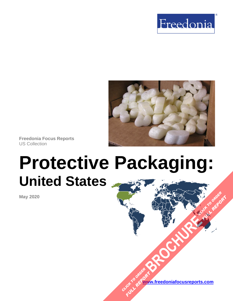



**Freedonia Focus Reports** US Collection

# **Protective Packaging: United States**

**May 2020**

**[www.freedoniafocusreports.com](https://www.freedoniafocusreports.com/redirect.asp?progid=89534&url=/)** CLICK TO ORDER **FULL REPORT** 

**[BROCHURE](https://www.freedoniafocusreports.com/Protective-Packaging-United-States-FF30020/?progid=89541) CLICK TO ORDER** 

**FULL REPORT**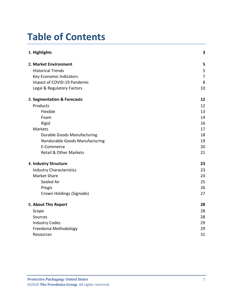## **Table of Contents**

| 1. Highlights                      | 3              |
|------------------------------------|----------------|
| 2. Market Environment              | 5              |
| <b>Historical Trends</b>           | 5              |
| Key Economic Indicators            | $\overline{7}$ |
| Impact of COVID-19 Pandemic        | 8              |
| Legal & Regulatory Factors         | 10             |
| 3. Segmentation & Forecasts        | 12             |
| Products                           | 12             |
| Flexible                           | 13             |
| Foam                               | 14             |
| Rigid                              | 16             |
| Markets                            | 17             |
| <b>Durable Goods Manufacturing</b> | 18             |
| Nondurable Goods Manufacturing     | 19             |
| E-Commerce                         | 20             |
| <b>Retail &amp; Other Markets</b>  | 21             |
| 4. Industry Structure              | 23             |
| <b>Industry Characteristics</b>    | 23             |
| <b>Market Share</b>                | 24             |
| Sealed Air                         | 25             |
| Pregis                             | 26             |
| Crown Holdings (Signode)           | 27             |
| 5. About This Report               | 28             |
| Scope                              | 28             |
| Sources                            | 28             |
| <b>Industry Codes</b>              | 29             |
| Freedonia Methodology              | 29             |
| Resources                          | 31             |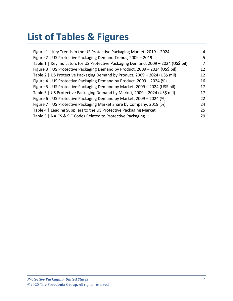## **List of Tables & Figures**

| Figure 1   Key Trends in the US Protective Packaging Market, 2019 - 2024            | 4  |
|-------------------------------------------------------------------------------------|----|
| Figure 2   US Protective Packaging Demand Trends, 2009 - 2019                       | 5  |
| Table 1   Key Indicators for US Protective Packaging Demand, 2009 - 2024 (US\$ bil) | 7  |
| Figure 3   US Protective Packaging Demand by Product, 2009 - 2024 (US\$ bil)        | 12 |
| Table 2   US Protective Packaging Demand by Product, 2009 - 2024 (US\$ mil)         | 12 |
| Figure 4   US Protective Packaging Demand by Product, 2009 - 2024 (%)               | 16 |
| Figure 5   US Protective Packaging Demand by Market, 2009 - 2024 (US\$ bil)         | 17 |
| Table 3   US Protective Packaging Demand by Market, 2009 - 2024 (US\$ mil)          | 17 |
| Figure 6   US Protective Packaging Demand by Market, 2009 - 2024 (%)                | 22 |
| Figure 7   US Protective Packaging Market Share by Company, 2019 (%)                | 24 |
| Table 4   Leading Suppliers to the US Protective Packaging Market                   | 25 |
| Table 5   NAICS & SIC Codes Related to Protective Packaging                         | 29 |
|                                                                                     |    |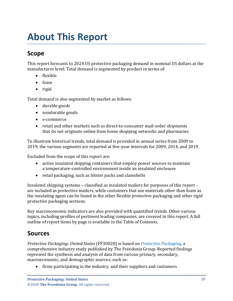## <span id="page-3-0"></span>**About This Report**

## <span id="page-3-1"></span>**Scope**

This report forecasts to 2024 US protective packaging demand in nominal US dollars at the manufacturer level. Total demand is segmented by product in terms of:

- flexible
- foam
- rigid

Total demand is also segmented by market as follows:

- durable goods
- nondurable goods
- e-commerce
- retail and other markets such as direct-to-consumer mail-order shipments that do not originate online from home shopping networks and pharmacies

To illustrate historical trends, total demand is provided in annual series from 2009 to 2019; the various segments are reported at five-year intervals for 2009, 2014, and 2019.

Excluded from the scope of this report are:

- active insulated shipping containers that employ power sources to maintain a temperature-controlled environment inside an insulated enclosure
- retail packaging, such as blister packs and clamshells

Insulated shipping systems – classified as insulated mailers for purposes of this report – are included as protective mailers, while containers that use materials other than foam as the insulating agent can be found in the other flexible protective packaging and other rigid protective packaging sections.

Key macroeconomic indicators are also provided with quantified trends. Other various topics, including profiles of pertinent leading companies, are covered in this report. A full outline of report items by page is available in the Table of Contents.

## <span id="page-3-2"></span>**Sources**

*Protective Packaging: United States* (FF30020) is based on *[Protective Packaging,](http://www.freedoniagroup.com/DocumentDetails.aspx?ReferrerId=FL-FOCUS&studyid=3797)* a comprehensive industry study published by The Freedonia Group. Reported findings represent the synthesis and analysis of data from various primary, secondary, macroeconomic, and demographic sources, such as:

• firms participating in the industry, and their suppliers and customers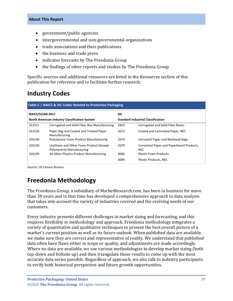#### **About This Report**

- government/public agencies
- intergovernmental and non-governmental organizations
- trade associations and their publications
- the business and trade press
- indicator forecasts by The Freedonia Group
- the findings of other reports and studies by The Freedonia Group

Specific sources and additional resources are listed in the Resources section of this publication for reference and to facilitate further research.

### <span id="page-4-0"></span>**Industry Codes**

<span id="page-4-2"></span>

| Table 5   NAICS & SIC Codes Related to Protective Packaging                                       |                                                                       |      |                                                        |  |
|---------------------------------------------------------------------------------------------------|-----------------------------------------------------------------------|------|--------------------------------------------------------|--|
| <b>NAICS/SCIAN 2017</b><br><b>SIC</b>                                                             |                                                                       |      |                                                        |  |
| <b>Standard Industrial Classification</b><br><b>North American Industry Classification System</b> |                                                                       |      |                                                        |  |
| 322211                                                                                            | Corrugated and Solid Fiber Box Manufacturing                          | 2653 | Corrugated and Solid Fiber Boxes                       |  |
| 322220                                                                                            | Paper Bag and Coated and Treated Paper<br>Manufacturing               | 2672 | Coated and Laminated Paper, NEC                        |  |
| 326140                                                                                            | Polystyrene Foam Product Manufacturing                                | 2674 | Uncoated Paper and Multiwall Bags                      |  |
| 326150                                                                                            | Urethane and Other Foam Product (Except<br>Polystyrene) Manufacturing | 2679 | Converted Paper and Paperboard Products,<br><b>NEC</b> |  |
| 326199                                                                                            | All Other Plastics Product Manufacturing                              | 3086 | <b>Plastic Foam Products</b>                           |  |
|                                                                                                   |                                                                       | 3089 | <b>Plastic Products, NEC</b>                           |  |

Source: US Census Bureau

## <span id="page-4-1"></span>**Freedonia Methodology**

The Freedonia Group, a subsidiary of MarketResearch.com, has been in business for more than 30 years and in that time has developed a comprehensive approach to data analysis that takes into account the variety of industries covered and the evolving needs of our customers.

Every industry presents different challenges in market sizing and forecasting, and this requires flexibility in methodology and approach. Freedonia methodology integrates a variety of quantitative and qualitative techniques to present the best overall picture of a market's current position as well as its future outlook: When published data are available, we make sure they are correct and representative of reality. We understand that published data often have flaws either in scope or quality, and adjustments are made accordingly. Where no data are available, we use various methodologies to develop market sizing (both top-down and bottom-up) and then triangulate those results to come up with the most accurate data series possible. Regardless of approach, we also talk to industry participants to verify both historical perspective and future growth opportunities.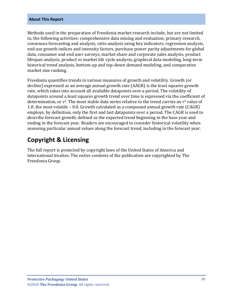#### **About This Report**

Methods used in the preparation of Freedonia market research include, but are not limited to, the following activities: comprehensive data mining and evaluation, primary research, consensus forecasting and analysis, ratio analysis using key indicators, regression analysis, end use growth indices and intensity factors, purchase power parity adjustments for global data, consumer and end user surveys, market share and corporate sales analysis, product lifespan analysis, product or market life cycle analysis, graphical data modeling, long-term historical trend analysis, bottom-up and top-down demand modeling, and comparative market size ranking.

Freedonia quantifies trends in various measures of growth and volatility. Growth (or decline) expressed as an average annual growth rate (AAGR) is the least squares growth rate, which takes into account all available datapoints over a period. The volatility of datapoints around a least squares growth trend over time is expressed via the coefficient of determination, or  $r^2$ . The most stable data series relative to the trend carries an  $r^2$  value of 1.0; the most volatile – 0.0. Growth calculated as a compound annual growth rate (CAGR) employs, by definition, only the first and last datapoints over a period. The CAGR is used to describe forecast growth, defined as the expected trend beginning in the base year and ending in the forecast year. Readers are encouraged to consider historical volatility when assessing particular annual values along the forecast trend, including in the forecast year.

## **Copyright & Licensing**

The full report is protected by copyright laws of the United States of America and international treaties. The entire contents of the publication are copyrighted by The Freedonia Group.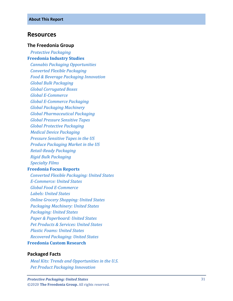#### <span id="page-6-0"></span>**Resources**

#### **The Freedonia Group**

 *[Protective Packaging](http://www.freedoniagroup.com/DocumentDetails.aspx?ReferrerId=FL-FOCUS&studyid=3797)* **[Freedonia Industry Studies](http://www.freedoniagroup.com/Home.aspx?ReferrerId=FL-Focus)**  *[Cannabis Packaging Opportunities](http://www.freedoniagroup.com/DocumentDetails.aspx?ReferrerId=FL-FOCUS&studyid=3773) [Converted Flexible Packaging](http://www.freedoniagroup.com/DocumentDetails.aspx?ReferrerId=FL-FOCUS&studyid=3731) [Food & Beverage Packaging Innovation](http://www.freedoniagroup.com/DocumentDetails.aspx?ReferrerId=FL-FOCUS&studyid=3736) Global [Bulk Packaging](http://www.freedoniagroup.com/DocumentDetails.aspx?ReferrerId=FL-FOCUS&studyid=3612) [Global Corrugated Boxes](http://www.freedoniagroup.com/DocumentDetails.aspx?ReferrerId=FL-FOCUS&studyid=3737) Global E [-Commerce](http://www.freedoniagroup.com/DocumentDetails.aspx?ReferrerId=FL-FOCUS&studyid=3724) Global E [-Commerce Packaging](http://www.freedoniagroup.com/DocumentDetails.aspx?ReferrerId=FL-FOCUS&studyid=3744) [Global Packaging Machinery](http://www.freedoniagroup.com/DocumentDetails.aspx?ReferrerId=FL-FOCUS&studyid=3788) [Global Pharmaceutical Packaging](http://www.freedoniagroup.com/DocumentDetails.aspx?ReferrerId=FL-FOCUS&studyid=3758) [Global Pressure Sensitive Tapes](http://www.freedoniagroup.com/DocumentDetails.aspx?ReferrerId=FL-FOCUS&studyid=3685) [Global Protective Packaging](http://www.freedoniagroup.com/DocumentDetails.aspx?ReferrerId=FL-FOCUS&studyid=3741) [Medical Device Packaging](http://www.freedoniagroup.com/DocumentDetails.aspx?ReferrerId=FL-FOCUS&studyid=3782) [Pressure Sensitive Tapes in the US](http://www.freedoniagroup.com/DocumentDetails.aspx?ReferrerId=FL-FOCUS&studyid=3645) [Produce Packaging Market in the US](http://www.freedoniagroup.com/DocumentDetails.aspx?ReferrerId=FL-FOCUS&studyid=3632) Retail [-Ready Packaging](http://www.freedoniagroup.com/DocumentDetails.aspx?ReferrerId=FL-FOCUS&studyid=3713) [Rigid Bulk Packaging](http://www.freedoniagroup.com/DocumentDetails.aspx?ReferrerId=FL-FOCUS&studyid=3704) [Specialty Films](http://www.freedoniagroup.com/DocumentDetails.aspx?ReferrerId=FL-FOCUS&studyid=3732)* **[Freedonia Focus Reports](https://www.freedoniafocusreports.com/redirect.asp?progid=89534&url=/)**  *[Converted Flexible Packaging: United States](https://www.freedoniafocusreports.com/Converted-Flexible-Packaging-United-States-FF30014/?progid=89534) E [-Commerce: United States](https://www.freedoniafocusreports.com/E-Commerce-United-States-FF90043/?progid=89534) [Global Food E](https://www.freedoniafocusreports.com/Global-Food-E-Commerce-FW10063/?progid=89534) -Commerce [Labels: United States](https://www.freedoniafocusreports.com/Labels-United-States-FF30023/?progid=89534) [Online Grocery Shopping: United States](https://www.freedoniafocusreports.com/Online-Grocery-Shopping-United-States-FF90054/?progid=89534) [Packaging Machinery: United States](https://www.freedoniafocusreports.com/Packaging-Machinery-United-States-FF75038/?progid=89534) [Packaging: United States](https://www.freedoniafocusreports.com/Packaging-United-States-FF30035/?progid=89534) [Paper & Paperboard: United States](https://www.freedoniafocusreports.com/Paper-Paperboard-United-States-FF25011/?progid=89534) [Pet Products & Services: United States](https://www.freedoniafocusreports.com/Pet-Products-Services-United-States-FF95047/?progid=89534) [Plastic Foams: United States](https://www.freedoniafocusreports.com/Plastic-Foams-United-States-FF55013/?progid=89534) [Recovered Packaging: United States](https://www.freedoniafocusreports.com/Recovered-Packaging-United-States-FF30051/?progid=89534)*

#### **[Freedonia Custom Research](http://www.freedoniagroup.com/CustomResearch.aspx?ReferrerId=FL-Focus)**

#### **Packaged Facts**

 *[Meal Kits: Trends and Opportunities in the U.S.](https://www.packagedfacts.com/Meal-Kits-Trend-Opportunities-Editon-11984597/?progid=89534) [Pet Product Packaging Innovation](https://www.packagedfacts.com/Pet-Product-Packaging-Innovation-11707762/?progid=89534)*